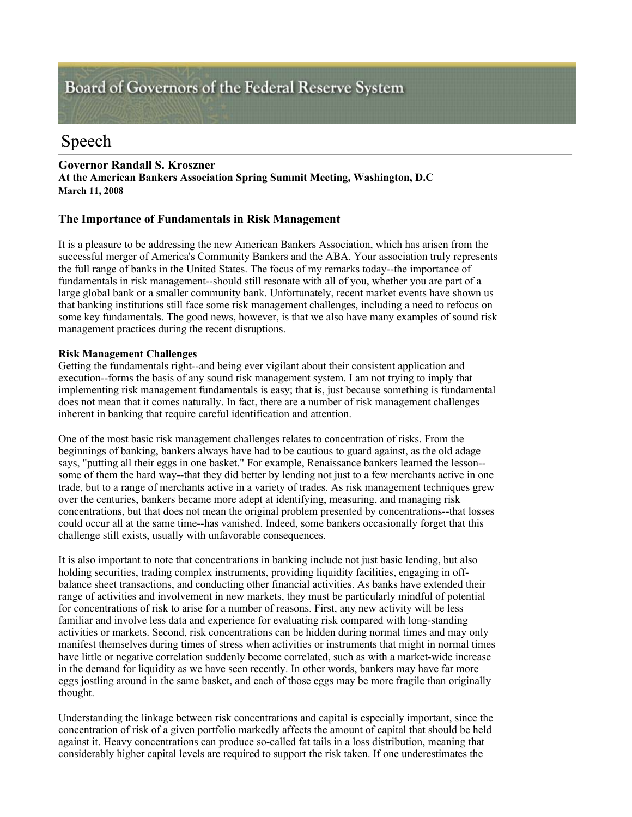# Board of Governors of the Federal Reserve System

## Speech

## **Governor Randall S. Kroszner**

**At the American Bankers Association Spring Summit Meeting, Washington, D.C March 11, 2008** 

## **The Importance of Fundamentals in Risk Management**

It is a pleasure to be addressing the new American Bankers Association, which has arisen from the successful merger of America's Community Bankers and the ABA. Your association truly represents the full range of banks in the United States. The focus of my remarks today--the importance of fundamentals in risk management--should still resonate with all of you, whether you are part of a large global bank or a smaller community bank. Unfortunately, recent market events have shown us that banking institutions still face some risk management challenges, including a need to refocus on some key fundamentals. The good news, however, is that we also have many examples of sound risk management practices during the recent disruptions.

## **Risk Management Challenges**

Getting the fundamentals right--and being ever vigilant about their consistent application and execution--forms the basis of any sound risk management system. I am not trying to imply that implementing risk management fundamentals is easy; that is, just because something is fundamental does not mean that it comes naturally. In fact, there are a number of risk management challenges inherent in banking that require careful identification and attention.

One of the most basic risk management challenges relates to concentration of risks. From the beginnings of banking, bankers always have had to be cautious to guard against, as the old adage says, "putting all their eggs in one basket." For example, Renaissance bankers learned the lesson- some of them the hard way--that they did better by lending not just to a few merchants active in one trade, but to a range of merchants active in a variety of trades. As risk management techniques grew over the centuries, bankers became more adept at identifying, measuring, and managing risk concentrations, but that does not mean the original problem presented by concentrations--that losses could occur all at the same time--has vanished. Indeed, some bankers occasionally forget that this challenge still exists, usually with unfavorable consequences.

It is also important to note that concentrations in banking include not just basic lending, but also holding securities, trading complex instruments, providing liquidity facilities, engaging in offbalance sheet transactions, and conducting other financial activities. As banks have extended their range of activities and involvement in new markets, they must be particularly mindful of potential for concentrations of risk to arise for a number of reasons. First, any new activity will be less familiar and involve less data and experience for evaluating risk compared with long-standing activities or markets. Second, risk concentrations can be hidden during normal times and may only manifest themselves during times of stress when activities or instruments that might in normal times have little or negative correlation suddenly become correlated, such as with a market-wide increase in the demand for liquidity as we have seen recently. In other words, bankers may have far more eggs jostling around in the same basket, and each of those eggs may be more fragile than originally thought.

Understanding the linkage between risk concentrations and capital is especially important, since the concentration of risk of a given portfolio markedly affects the amount of capital that should be held against it. Heavy concentrations can produce so-called fat tails in a loss distribution, meaning that considerably higher capital levels are required to support the risk taken. If one underestimates the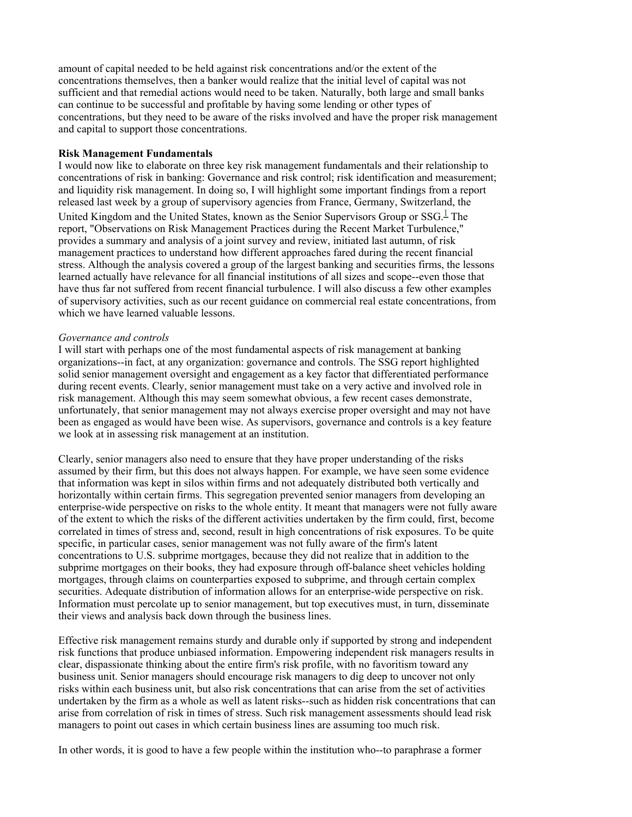amount of capital needed to be held against risk concentrations and/or the extent of the concentrations themselves, then a banker would realize that the initial level of capital was not sufficient and that remedial actions would need to be taken. Naturally, both large and small banks can continue to be successful and profitable by having some lending or other types of concentrations, but they need to be aware of the risks involved and have the proper risk management and capital to support those concentrations.

#### **Risk Management Fundamentals**

I would now like to elaborate on three key risk management fundamentals and their relationship to concentrations of risk in banking: Governance and risk control; risk identification and measurement; and liquidity risk management. In doing so, I will highlight some important findings from a report released last week by a group of supervisory agencies from France, Germany, Switzerland, the United Kingdom and the United States, known as the Senior Supervisors Group or  $SSG<sup>1</sup>$ . The report, "Observations on Risk Management Practices during the Recent Market Turbulence," provides a summary and analysis of a joint survey and review, initiated last autumn, of risk management practices to understand how different approaches fared during the recent financial stress. Although the analysis covered a group of the largest banking and securities firms, the lessons learned actually have relevance for all financial institutions of all sizes and scope--even those that have thus far not suffered from recent financial turbulence. I will also discuss a few other examples of supervisory activities, such as our recent guidance on commercial real estate concentrations, from which we have learned valuable lessons.

#### *Governance and controls*

I will start with perhaps one of the most fundamental aspects of risk management at banking organizations--in fact, at any organization: governance and controls. The SSG report highlighted solid senior management oversight and engagement as a key factor that differentiated performance during recent events. Clearly, senior management must take on a very active and involved role in risk management. Although this may seem somewhat obvious, a few recent cases demonstrate, unfortunately, that senior management may not always exercise proper oversight and may not have been as engaged as would have been wise. As supervisors, governance and controls is a key feature we look at in assessing risk management at an institution.

Clearly, senior managers also need to ensure that they have proper understanding of the risks assumed by their firm, but this does not always happen. For example, we have seen some evidence that information was kept in silos within firms and not adequately distributed both vertically and horizontally within certain firms. This segregation prevented senior managers from developing an enterprise-wide perspective on risks to the whole entity. It meant that managers were not fully aware of the extent to which the risks of the different activities undertaken by the firm could, first, become correlated in times of stress and, second, result in high concentrations of risk exposures. To be quite specific, in particular cases, senior management was not fully aware of the firm's latent concentrations to U.S. subprime mortgages, because they did not realize that in addition to the subprime mortgages on their books, they had exposure through off-balance sheet vehicles holding mortgages, through claims on counterparties exposed to subprime, and through certain complex securities. Adequate distribution of information allows for an enterprise-wide perspective on risk. Information must percolate up to senior management, but top executives must, in turn, disseminate their views and analysis back down through the business lines.

Effective risk management remains sturdy and durable only if supported by strong and independent risk functions that produce unbiased information. Empowering independent risk managers results in clear, dispassionate thinking about the entire firm's risk profile, with no favoritism toward any business unit. Senior managers should encourage risk managers to dig deep to uncover not only risks within each business unit, but also risk concentrations that can arise from the set of activities undertaken by the firm as a whole as well as latent risks--such as hidden risk concentrations that can arise from correlation of risk in times of stress. Such risk management assessments should lead risk managers to point out cases in which certain business lines are assuming too much risk.

In other words, it is good to have a few people within the institution who--to paraphrase a former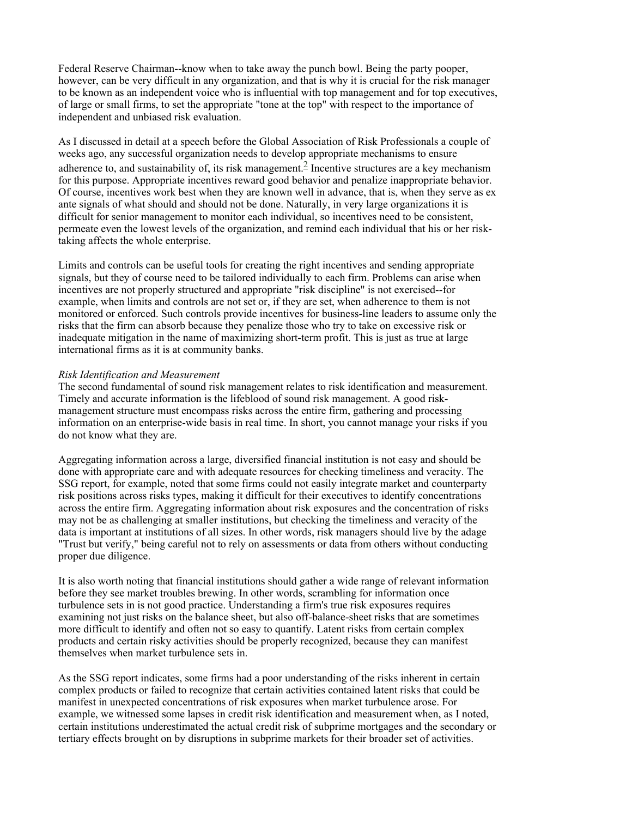Federal Reserve Chairman--know when to take away the punch bowl. Being the party pooper, however, can be very difficult in any organization, and that is why it is crucial for the risk manager to be known as an independent voice who is influential with top management and for top executives, of large or small firms, to set the appropriate "tone at the top" with respect to the importance of independent and unbiased risk evaluation.

As I discussed in detail at a speech before the Global Association of Risk Professionals a couple of weeks ago, any successful organization needs to develop appropriate mechanisms to ensure adherence to, and sustainability of, its risk management.<sup>2</sup> Incentive structures are a key mechanism for this purpose. Appropriate incentives reward good behavior and penalize inappropriate behavior. Of course, incentives work best when they are known well in advance, that is, when they serve as ex ante signals of what should and should not be done. Naturally, in very large organizations it is difficult for senior management to monitor each individual, so incentives need to be consistent, permeate even the lowest levels of the organization, and remind each individual that his or her risktaking affects the whole enterprise.

Limits and controls can be useful tools for creating the right incentives and sending appropriate signals, but they of course need to be tailored individually to each firm. Problems can arise when incentives are not properly structured and appropriate "risk discipline" is not exercised--for example, when limits and controls are not set or, if they are set, when adherence to them is not monitored or enforced. Such controls provide incentives for business-line leaders to assume only the risks that the firm can absorb because they penalize those who try to take on excessive risk or inadequate mitigation in the name of maximizing short-term profit. This is just as true at large international firms as it is at community banks.

## *Risk Identification and Measurement*

The second fundamental of sound risk management relates to risk identification and measurement. Timely and accurate information is the lifeblood of sound risk management. A good riskmanagement structure must encompass risks across the entire firm, gathering and processing information on an enterprise-wide basis in real time. In short, you cannot manage your risks if you do not know what they are.

Aggregating information across a large, diversified financial institution is not easy and should be done with appropriate care and with adequate resources for checking timeliness and veracity. The SSG report, for example, noted that some firms could not easily integrate market and counterparty risk positions across risks types, making it difficult for their executives to identify concentrations across the entire firm. Aggregating information about risk exposures and the concentration of risks may not be as challenging at smaller institutions, but checking the timeliness and veracity of the data is important at institutions of all sizes. In other words, risk managers should live by the adage "Trust but verify," being careful not to rely on assessments or data from others without conducting proper due diligence.

It is also worth noting that financial institutions should gather a wide range of relevant information before they see market troubles brewing. In other words, scrambling for information once turbulence sets in is not good practice. Understanding a firm's true risk exposures requires examining not just risks on the balance sheet, but also off-balance-sheet risks that are sometimes more difficult to identify and often not so easy to quantify. Latent risks from certain complex products and certain risky activities should be properly recognized, because they can manifest themselves when market turbulence sets in.

As the SSG report indicates, some firms had a poor understanding of the risks inherent in certain complex products or failed to recognize that certain activities contained latent risks that could be manifest in unexpected concentrations of risk exposures when market turbulence arose. For example, we witnessed some lapses in credit risk identification and measurement when, as I noted, certain institutions underestimated the actual credit risk of subprime mortgages and the secondary or tertiary effects brought on by disruptions in subprime markets for their broader set of activities.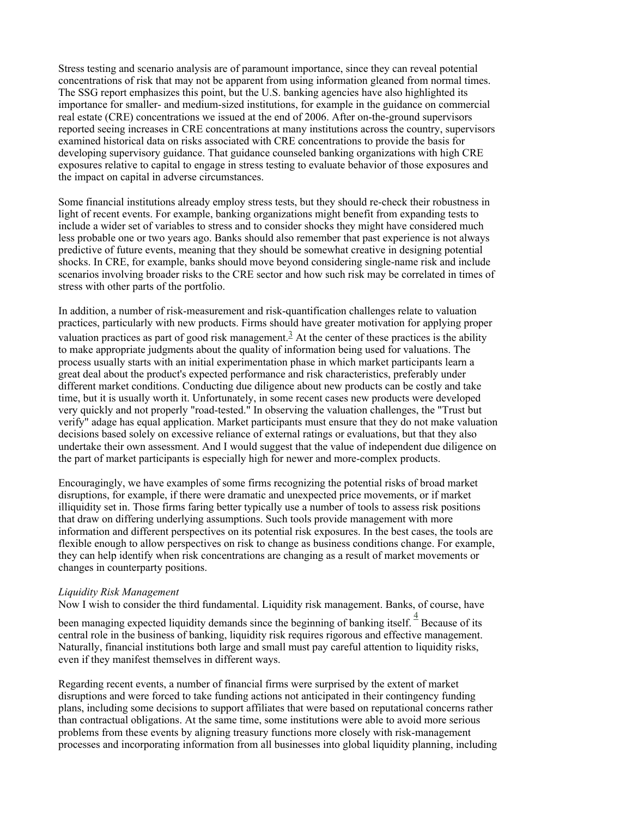Stress testing and scenario analysis are of paramount importance, since they can reveal potential concentrations of risk that may not be apparent from using information gleaned from normal times. The SSG report emphasizes this point, but the U.S. banking agencies have also highlighted its importance for smaller- and medium-sized institutions, for example in the guidance on commercial real estate (CRE) concentrations we issued at the end of 2006. After on-the-ground supervisors reported seeing increases in CRE concentrations at many institutions across the country, supervisors examined historical data on risks associated with CRE concentrations to provide the basis for developing supervisory guidance. That guidance counseled banking organizations with high CRE exposures relative to capital to engage in stress testing to evaluate behavior of those exposures and the impact on capital in adverse circumstances.

Some financial institutions already employ stress tests, but they should re-check their robustness in light of recent events. For example, banking organizations might benefit from expanding tests to include a wider set of variables to stress and to consider shocks they might have considered much less probable one or two years ago. Banks should also remember that past experience is not always predictive of future events, meaning that they should be somewhat creative in designing potential shocks. In CRE, for example, banks should move beyond considering single-name risk and include scenarios involving broader risks to the CRE sector and how such risk may be correlated in times of stress with other parts of the portfolio.

In addition, a number of risk-measurement and risk-quantification challenges relate to valuation practices, particularly with new products. Firms should have greater motivation for applying proper valuation practices as part of good risk management.<sup>3</sup> At the center of these practices is the ability to make appropriate judgments about the quality of information being used for valuations. The process usually starts with an initial experimentation phase in which market participants learn a great deal about the product's expected performance and risk characteristics, preferably under different market conditions. Conducting due diligence about new products can be costly and take time, but it is usually worth it. Unfortunately, in some recent cases new products were developed very quickly and not properly "road-tested." In observing the valuation challenges, the "Trust but verify" adage has equal application. Market participants must ensure that they do not make valuation decisions based solely on excessive reliance of external ratings or evaluations, but that they also undertake their own assessment. And I would suggest that the value of independent due diligence on the part of market participants is especially high for newer and more-complex products.

Encouragingly, we have examples of some firms recognizing the potential risks of broad market disruptions, for example, if there were dramatic and unexpected price movements, or if market illiquidity set in. Those firms faring better typically use a number of tools to assess risk positions that draw on differing underlying assumptions. Such tools provide management with more information and different perspectives on its potential risk exposures. In the best cases, the tools are flexible enough to allow perspectives on risk to change as business conditions change. For example, they can help identify when risk concentrations are changing as a result of market movements or changes in counterparty positions.

#### *Liquidity Risk Management*

Now I wish to consider the third fundamental. Liquidity risk management. Banks, of course, have

been managing expected liquidity demands since the beginning of banking itself.  $\frac{4}{3}$  Because of its central role in the business of banking, liquidity risk requires rigorous and effective management. Naturally, financial institutions both large and small must pay careful attention to liquidity risks, even if they manifest themselves in different ways.

Regarding recent events, a number of financial firms were surprised by the extent of market disruptions and were forced to take funding actions not anticipated in their contingency funding plans, including some decisions to support affiliates that were based on reputational concerns rather than contractual obligations. At the same time, some institutions were able to avoid more serious problems from these events by aligning treasury functions more closely with risk-management processes and incorporating information from all businesses into global liquidity planning, including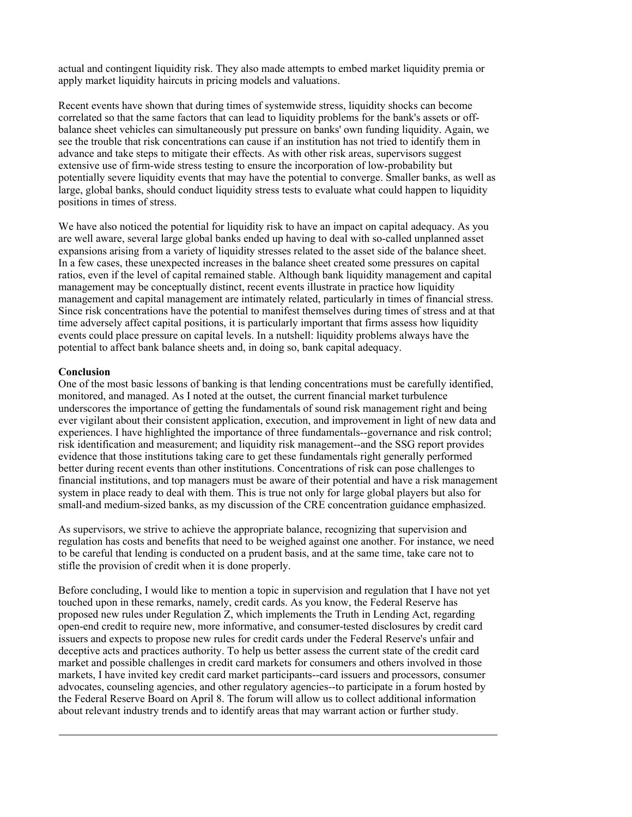actual and contingent liquidity risk. They also made attempts to embed market liquidity premia or apply market liquidity haircuts in pricing models and valuations.

Recent events have shown that during times of systemwide stress, liquidity shocks can become correlated so that the same factors that can lead to liquidity problems for the bank's assets or offbalance sheet vehicles can simultaneously put pressure on banks' own funding liquidity. Again, we see the trouble that risk concentrations can cause if an institution has not tried to identify them in advance and take steps to mitigate their effects. As with other risk areas, supervisors suggest extensive use of firm-wide stress testing to ensure the incorporation of low-probability but potentially severe liquidity events that may have the potential to converge. Smaller banks, as well as large, global banks, should conduct liquidity stress tests to evaluate what could happen to liquidity positions in times of stress.

We have also noticed the potential for liquidity risk to have an impact on capital adequacy. As you are well aware, several large global banks ended up having to deal with so-called unplanned asset expansions arising from a variety of liquidity stresses related to the asset side of the balance sheet. In a few cases, these unexpected increases in the balance sheet created some pressures on capital ratios, even if the level of capital remained stable. Although bank liquidity management and capital management may be conceptually distinct, recent events illustrate in practice how liquidity management and capital management are intimately related, particularly in times of financial stress. Since risk concentrations have the potential to manifest themselves during times of stress and at that time adversely affect capital positions, it is particularly important that firms assess how liquidity events could place pressure on capital levels. In a nutshell: liquidity problems always have the potential to affect bank balance sheets and, in doing so, bank capital adequacy.

#### **Conclusion**

One of the most basic lessons of banking is that lending concentrations must be carefully identified, monitored, and managed. As I noted at the outset, the current financial market turbulence underscores the importance of getting the fundamentals of sound risk management right and being ever vigilant about their consistent application, execution, and improvement in light of new data and experiences. I have highlighted the importance of three fundamentals--governance and risk control; risk identification and measurement; and liquidity risk management--and the SSG report provides evidence that those institutions taking care to get these fundamentals right generally performed better during recent events than other institutions. Concentrations of risk can pose challenges to financial institutions, and top managers must be aware of their potential and have a risk management system in place ready to deal with them. This is true not only for large global players but also for small-and medium-sized banks, as my discussion of the CRE concentration guidance emphasized.

As supervisors, we strive to achieve the appropriate balance, recognizing that supervision and regulation has costs and benefits that need to be weighed against one another. For instance, we need to be careful that lending is conducted on a prudent basis, and at the same time, take care not to stifle the provision of credit when it is done properly.

Before concluding, I would like to mention a topic in supervision and regulation that I have not yet touched upon in these remarks, namely, credit cards. As you know, the Federal Reserve has proposed new rules under Regulation Z, which implements the Truth in Lending Act, regarding open-end credit to require new, more informative, and consumer-tested disclosures by credit card issuers and expects to propose new rules for credit cards under the Federal Reserve's unfair and deceptive acts and practices authority. To help us better assess the current state of the credit card market and possible challenges in credit card markets for consumers and others involved in those markets, I have invited key credit card market participants--card issuers and processors, consumer advocates, counseling agencies, and other regulatory agencies--to participate in a forum hosted by the Federal Reserve Board on April 8. The forum will allow us to collect additional information about relevant industry trends and to identify areas that may warrant action or further study.